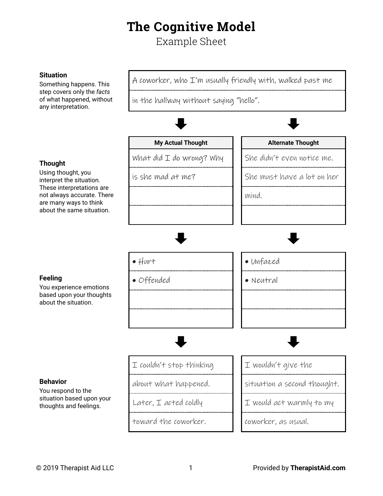## **The Cognitive Model**

Example Sheet

## **Situation** Something happens. This step covers only the *facts* of what happened, without any interpretation. A coworker, who I'm usually friendly with, walked past me in the hallway without saying "hello". **My Actual Thought Alternate Thought Thought** Using thought, you interpret the situation. These interpretations are not always accurate. There are many ways to think about the same situation. What did  $I$  do wrong? Why  $\parallel$  She didn't even notice me. is she mad at me?  $\|\cdot\|$  She must have a lot on her mind. **Feeling** You experience emotions based upon your thoughts about the situation. • Hurt **• Hurt • Unfazed** • Offended lower lower **Behavior** You respond to the situation based upon your thoughts and feelings.  $I$  couldn't stop thinking  $II$   $I$  wouldn't give the about what happened. Situation a second thought. Later,  $I$  acted coldly  $II$  would act warmly to my toward the coworker. coworker, as usual.